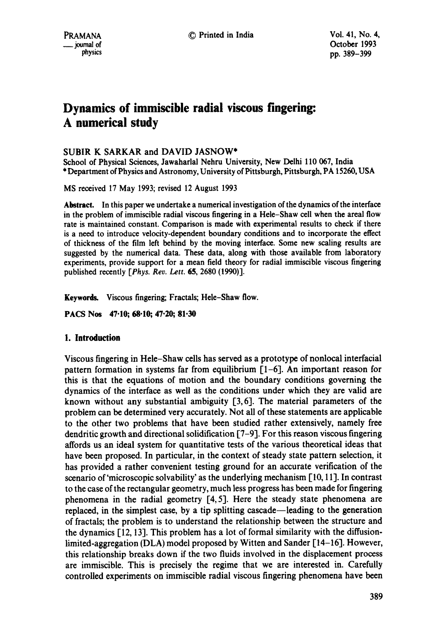# **Dynamics of immiscible radial viscous fingering: A numerical study**

# SUBIR K SARKAR and DAVID JASNOW\*

School of Physical Sciences, Jawaharlal Nehru University, New Delhi 110 067, India \* Department of Physics and Astronomy, University of Pittsburgh, Pittsburgh, PA 15260, USA

MS received 17 May 1993; revised 12 August 1993

Abstract. In this paper we undertake a numerical investigation of the dynamics of the interface in the problem of immiscible radial viscous fingering in a Hele-Shaw cell when the areal flow rate is maintained constant. Comparison is made with experimental results to check if there is a need to introduce velocity-dependent boundary conditions and to incorporate the effect of thickness of the film left behind by the moving interface. Some new scaling results are suggested by the numerical data. These data, along with those available from laboratory experiments, provide support for a mean field theory for radial immiscible viscous fingering published recently *[Phys. Rev. Lett.* 65, 2680 (1990)].

Keywords. Viscous fingering; Fractals; Hele-Shaw flow.

**PACS Nos 47.10; 68.10; 47.20; 81.30** 

## **1. Introduction**

Viscous fingering in Hele-Shaw cells has served as a prototype of nonlocal interfacial pattern formation in systems far from equilibrium [1-6]. An important reason for this is that the equations of motion and the boundary conditions governing the dynamics of the interface as well as the conditions under which they are valid are known without any substantial ambiguity [3, 6]. The material parameters of the problem can be determined very accurately. Not all of these statements are applicable to the other two problems that have been studied rather extensively, namely free dendritic growth and directional solidification [7-9]. For this reason viscous fingering affords us an ideal system for quantitative tests of the various theoretical ideas that have been proposed. In particular, in the context of steady state pattern selection, it has provided a rather convenient testing ground for an accurate verification of the scenario of'microscopic solvability' as the underlying mechanism [10, 11]. In contrast to the case of the rectangular geometry, much less progress has been made for fingering phenomena in the radial geometry [4, 5]. Here the steady state phenomena are replaced, in the simplest case, by a tip splitting cascade—leading to the generation of fractals; the problem is to understand the relationship between the structure and the dynamics [12, 13]. This problem has a lot of formal similarity with the diffusionlimited-aggregation (DLA) model proposed by Witten and Sander [14-16]. However, this relationship breaks down if the two fluids involved in the displacement process are immiscible. This is precisely the regime that we are interested in. Carefully controlled experiments on immiscible radial viscous fingering phenomena have been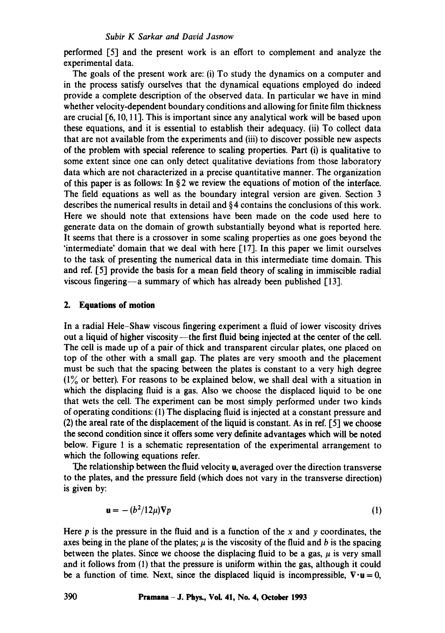performed [5] and the present work is an effort to complement and analyze the experimental data.

The goals of the present work are: (i) To study the dynamics on a computer and in the process satisfy ourselves that the dynamical equations employed do indeed provide a complete description of the observed data. In particular we have in mind whether velocity-dependent boundary conditions and allowing for finite film thickness are crucial [6, 10, 11]. This is important since any analytical work will be based upon these equations, and it is essential to establish their adequacy. (ii) To collect data that are not available from the experiments and (iii) to discover possible new aspects of the problem with special reference to scaling properties. Part (i) is qualitative to some extent since one can only detect qualitative deviations from those laboratory data which are not characterized in a precise quantitative manner. The organization of this paper is as follows: In  $\S 2$  we review the equations of motion of the interface. The field equations as well as the boundary integral version are given. Section 3 describes the numerical results in detail and § 4 contains the conclusions of this work. Here we should note that extensions have been made on the code used here to generate data on the domain of growth substantially beyond what is reported here. It seems that there is a crossover in some scaling properties as one goes beyond the 'intermediate' domain that we deal with here [17]. In this paper we limit ourselves to the task of presenting the numerical data in this intermediate time domain. This and ref. [5] provide the basis for a mean field theory of scaling in immiscible radial viscous fingering—a summary of which has already been published  $[13]$ .

#### **2. Equations of motion**

In a radial Hele-Shaw viscous fingering experiment a fluid of lower viscosity drives out a liquid of higher viscosity—the first fluid being injected at the center of the cell. The cell is made up of a pair of thick and transparent circular plates, one placed on top of the other with a small gap. The plates are very smooth and the placement must be such that the spacing between the plates is constant to a very high degree (1% or better). For reasons to be explained below, we shall deal with a situation in which the displacing fluid is a gas. Also we choose the displaced liquid to be one that wets the cell. The experiment can be most simply performed under two kinds of operating conditions: (1) The displacing fluid is injected at a constant pressure and (2) the areal rate of the displacement of the liquid is constant. As in ref. [5] we choose the second condition since it offers some very definite advantages which will be noted below. Figure 1 is a schematic representation of the experimental arrangement to which the following equations refer.

The relationship between the fluid velocity u, averaged over the direction transverse to the plates, and the pressure field (which does not vary in the transverse direction) is given by:

$$
\mathbf{u} = -(b^2/12\mu)\nabla p \tag{1}
$$

Here  $p$  is the pressure in the fluid and is a function of the  $x$  and  $y$  coordinates, the axes being in the plane of the plates;  $\mu$  is the viscosity of the fluid and b is the spacing between the plates. Since we choose the displacing fluid to be a gas,  $\mu$  is very small and it follows from (1) that the pressure is uniform within the gas, although it could be a function of time. Next, since the displaced liquid is incompressible,  $\nabla \cdot \mathbf{u} = 0$ ,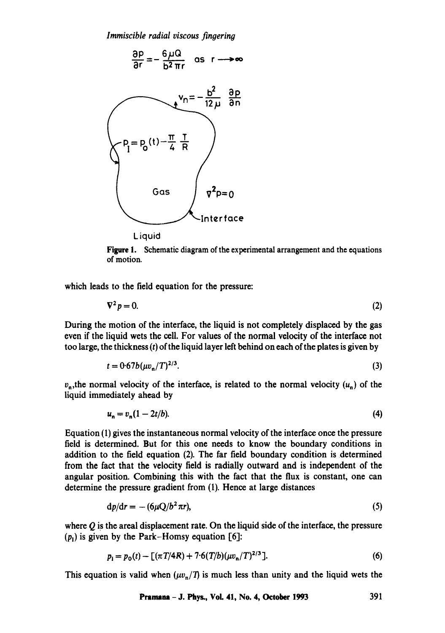*Immiscible radial viscous fingering* 



Figure 1. Schematic diagram of the experimental arrangement and the equations of motion.

which leads to the field equation for the pressure:

$$
\nabla^2 p = 0. \tag{2}
$$

During the motion of the interface, the liquid is not completely displaced by the gas even if the liquid wets the cell. For values of the normal velocity of the interface not too large, the thickness  $(t)$  of the liquid layer left behind on each of the plates is given by

$$
t = 0.67b(\mu v_n/T)^{2/3}.
$$
 (3)

 $v_n$ , the normal velocity of the interface, is related to the normal velocity  $(u_n)$  of the liquid immediately ahead by

$$
u_n = v_n(1 - 2t/b). \tag{4}
$$

Equation (1) gives the instantaneous normal velocity of the interface once the pressure field is determined. But for this one needs to know the boundary conditions in addition to the field equation (2). The far field boundary condition is determined from the fact that the velocity field is radially outward and is independent of the angular position. Combining this with the fact that the flux is constant, one can determine the pressure gradient from (1). Hence at large distances

$$
dp/dr = -(6\mu Q/b^2 \pi r),\tag{5}
$$

where  $\overline{O}$  is the areal displacement rate. On the liquid side of the interface, the pressure  $(p_1)$  is given by the Park-Homsy equation [6]:

$$
p_{\rm I} = p_{\rm o}(t) - \left[ (\pi T/4R) + 7.6(T/b)(\mu v_{\rm n}/T)^{2/3} \right]. \tag{6}
$$

This equation is valid when  $(\mu v_n/T)$  is much less than unity and the liquid wets the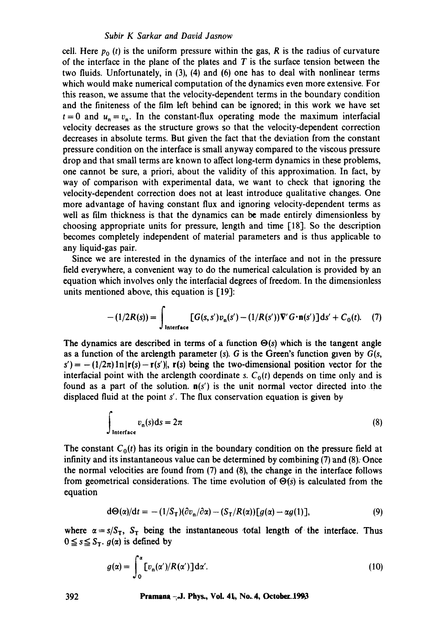cell. Here  $p_0(t)$  is the uniform pressure within the gas, R is the radius of curvature of the interface in the plane of the plates and  $T$  is the surface tension between the two fluids. Unfortunately, in (3), (4) and (6) one has to deal with nonlinear terms which would make numerical computation of the dynamics even more extensive. For this reason, we assume that the velocity-dependent terms in the boundary condition and the finiteness of the film left behind can be ignored; in this work we have set  $t=0$  and  $u_n = v_n$ . In the constant-flux operating mode the maximum interfacial velocity decreases as the structure grows so that the velocity-dependent correction decreases in absolute terms. But given the fact that the deviation from the constant pressure condition on the interface is small anyway compared to the viscous pressure drop and that small terms are known to affect long-term dynamics in these problems, one cannot be sure, a priori, about the validity of this approximation. In fact, by way of comparison with experimental data, we want to check that ignoring the velocity-dependent correction does not at least introduce qualitative changes. One more advantage of having constant flux and ignoring velocity-dependent terms as well as film thickness is that the dynamics can be made entirely dimensionless by choosing appropriate units for pressure, length and time [18]. So the description becomes completely independent of material parameters and is thus applicable to any liquid-gas pair.

Since we are interested in the dynamics of the interface and not in the pressure field everywhere, a convenient way to do the numerical calculation is provided by an equation which involves only the interfacial degrees of freedom. In the dimensionless units mentioned above, this equation is [19]:

$$
-(1/2R(s)) = \int_{\text{Interface}} [G(s, s')v_{n}(s') - (1/R(s'))\nabla' G \cdot n(s')]ds' + C_{0}(t). \quad (7)
$$

The dynamics are described in terms of a function  $\Theta(s)$  which is the tangent angle **as** a function of the arclength parameter (s). G is the Green's function given by *G(s,*   $s'$ ) = -(1/2 $\pi$ )ln|r(s) - r(s')|, r(s) being the two-dimensional position vector for the interfacial point with the arclength coordinate *s*.  $C_0(t)$  depends on time only and is found as a part of the solution,  $n(s')$  is the unit normal vector directed into the displaced fluid at the point s'. The flux conservation equation is given by

$$
\int_{\text{Interface}} v_n(s) \, \mathrm{d}s = 2\pi \tag{8}
$$

The constant  $C_0(t)$  has its origin in the boundary condition on the pressure field at infinity and its instantaneous value can be determined by combining  $(7)$  and  $(8)$ . Once the normal velocities are found from (7) and (8), the change in the interface follows from geometrical considerations. The time evolution of  $\Theta(s)$  is calculated from the equation

$$
d\Theta(\alpha)/dt = -(1/S_T)(\partial v_n/\partial \alpha) - (S_T/R(\alpha))[g(\alpha) - \alpha g(1)], \qquad (9)
$$

where  $\alpha = s/S_T$ ,  $S_T$  being the instantaneous total length of the interface. Thus  $0 \leq s \leq S_{\tau}$ .  $g(\alpha)$  is defined by

$$
g(\alpha) = \int_0^{\alpha} \left[ v_n(\alpha') / R(\alpha') \right] d\alpha'.
$$
 (10)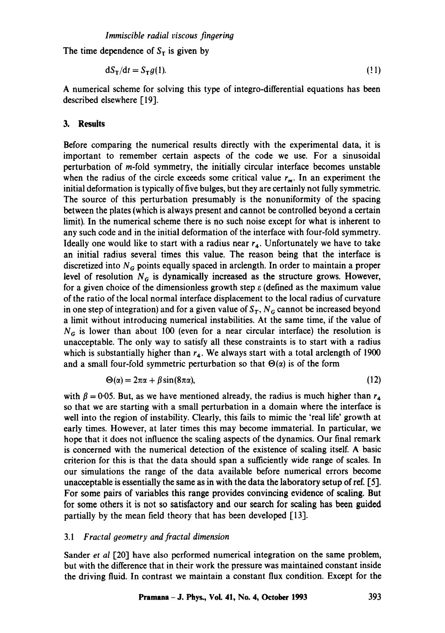The time dependence of  $S_T$  is given by

$$
dS_T/dt = S_T g(1). \tag{11}
$$

A numerical scheme for solving this type of integro-differential equations has been described elsewhere [19].

# **3. Results**

Before comparing the numerical results directly with the experimental data, it is important to remember certain aspects of the code we use. For a sinusoidal perturbation of m-fold symmetry, the initially circular interface becomes unstable when the radius of the circle exceeds some critical value  $r_m$ . In an experiment the initial deformation is typically of five bulges, but they are certainly not fully symmetric. The source of this perturbation presumably is the nonuniformity of the spacing between the plates (which is always present and cannot be controlled beyond a certain limit). In the numerical scheme there is no such noise except for what is inherent to any such code and in the initial deformation of the interface with four-fold symmetry. Ideally one would like to start with a radius near  $r<sub>4</sub>$ . Unfortunately we have to take an initial radius several times this value. The reason being that the interface is discretized into  $N_G$  points equally spaced in arclength. In order to maintain a proper level of resolution  $N<sub>G</sub>$  is dynamically increased as the structure grows. However, for a given choice of the dimensionless growth step  $\varepsilon$  (defined as the maximum value of the ratio of the local normal interface displacement to the local radius of curvature in one step of integration) and for a given value of  $S_T$ ,  $N_G$  cannot be increased beyond a limit without introducing numerical instabilities. At the same time, if the value of  $N_G$  is lower than about 100 (even for a near circular interface) the resolution is unacceptable. The only way to satisfy all these constraints is to start with a radius which is substantially higher than  $r_4$ . We always start with a total arclength of 1900 and a small four-fold symmetric perturbation so that  $\Theta(\alpha)$  is of the form

$$
\Theta(\alpha) = 2\pi\alpha + \beta\sin(8\pi\alpha),\tag{12}
$$

with  $\beta$  = 0.05. But, as we have mentioned already, the radius is much higher than  $r_4$ so that we are starting with a small perturbation in a domain where the interface is well into the region of instability. Clearly, this fails to mimic the 'real life' growth at early times. However, at later times this may become immaterial. In particular, we hope that it does not influence the scaling aspects of the dynamics. Our final remark is concerned with the numerical detection of the existence of scaling itself. A basic criterion for this is that the data should span a sufficiently wide range of scales. In our simulations the range of the data available before numerical errors become unacceptable is essentially the same as in with the data the laboratory setup of ref. [5]. For some pairs of variables this range provides convincing evidence of scaling. But for some others it is not so satisfactory and our search for scaling has been guided partially by the mean field theory that has been developed [13].

## *3.1 Fractal geometry and fractal dimension*

Sander *et al* [20] have also performed numerical integration on the same problem, but with the difference that in their work the pressure was maintained constant inside the driving fluid. In contrast we maintain a constant flux condition. Except for the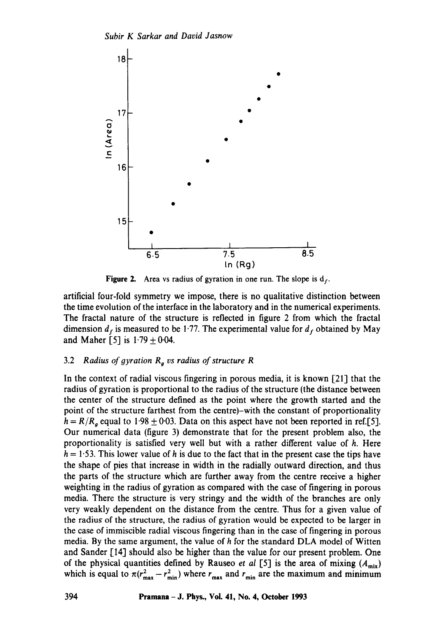

Figure 2. Area vs radius of gyration in one run. The slope is  $d_f$ .

artificial four-fold symmetry we impose, there is no qualitative distinction between the time evolution of the interface in the laboratory and in the numerical experiments. The fractal nature of the structure is reflected in figure 2 from which the fractal dimension  $d_f$  is measured to be 1.77. The experimental value for  $d_f$  obtained by May and Maher [5] is  $1.79 \pm 0.04$ .

# 3.2 *Radius of gyration Rg vs radius of structure R*

In the context of radial viscous fingering in porous media, it is known [21] that the radius of gyration is proportional to the radius of the structure (the distance between the center of the structure defined as the point where the growth started and the point of the structure farthest from the centre)-with the constant of proportionality  $h = R/R<sub>g</sub>$  equal to 1.98  $\pm$  0.03. Data on this aspect have not been reported in ref.[5]. Our numerical data (figure 3) demonstrate that for the present problem also, the proportionality is satisfied very well but with a rather different value of h. Here  $h = 1.53$ . This lower value of h is due to the fact that in the present case the tips have the shape of pies that increase in width in the radially outward direction, and thus the parts of the structure which are further away from the centre receive a higher weighting in the radius of gyration as compared with the case of fingering in porous media. There the structure is very stringy and the width of the branches are only very weakly dependent on the distance from the centre. Thus for a given value of the radiug of the structure, the radius of gyration would be expected to be larger in the case of immiscible radial viscous fingering than in the case of fingering in porous media. By the same argument, the value of h for the standard DLA model of Witten and Sander [14] should also be higher than the value for our present problem. One of the physical quantities defined by Rauseo *et al* [5] is the area of mixing  $(A_{mix})$ which is equal to  $\pi (r_{\max}^2 - r_{\min}^2)$  where  $r_{\max}$  and  $r_{\min}$  are the maximum and minimum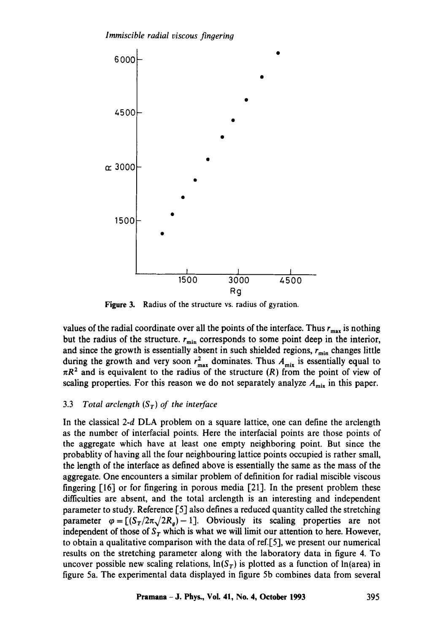

**Figure 3.**  Radius of the structure vs. radius of gyration.

values of the radial coordinate over all the points of the interface. Thus  $r_{\text{max}}$  is nothing but the radius of the structure.  $r_{\min}$  corresponds to some point deep in the interior, and since the growth is essentially absent in such shielded regions,  $r_{\min}$  changes little during the growth and very soon  $r_{\text{max}}^2$  dominates. Thus  $A_{\text{mix}}$  is essentially equal to  $\pi R^2$  and is equivalent to the radius of the structure (R) from the point of view of scaling properties. For this reason we do not separately analyze  $A_{mix}$  in this paper.

## 3.3 *Total arclength*  $(S_T)$  *of the interface*

In the classical 2-d DLA problem on a square lattice, one can define the arclength as the number of interfacial points. Here the interfacial points are those points of the aggregate which have at least one empty neighboring point. But since the probablity of having all the four neighbouring lattice points occupied is rather small, the length of the interface as defined above is essentially the same as the mass of the aggregate. One encounters a similar problem of definition for radial miscible viscous fingering [16] or for fingering in porous media [21]. In the present problem these difficulties are absent, and the total arclength is an interesting and independent parameter to study. Reference [5] also defines a reduced quantity called the stretching parameter  $\varphi = [(S_T/2\pi\sqrt{2R_g})-1]$ . Obviously its scaling properties are not independent of those of  $S_T$  which is what we will limit our attention to here. However, to obtain a qualitative comparison with the data of ref.[5], we present our numerical results on the stretching parameter along with the laboratory data in figure 4. To uncover possible new scaling relations,  $\ln(S_T)$  is plotted as a function of  $\ln(\text{area})$  in figure 5a. The experimental data displayed in figure 5b combines data from several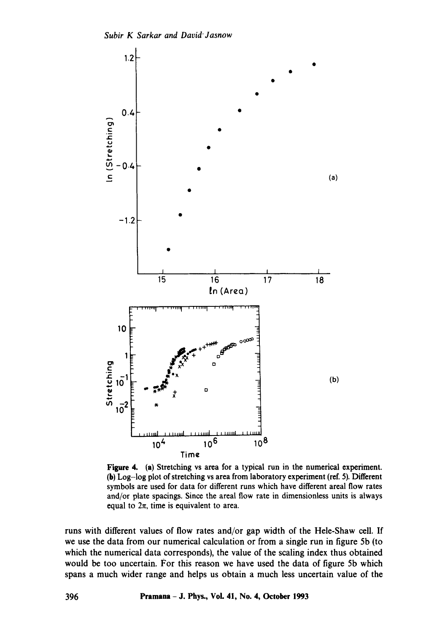

Figure 4. (a) Stretching vs area for a typical run in the numerical experiment. (b) Log-log plot of stretching vs area from laboratory experiment (ref. 5). Different symbols are used for data for different runs which have different areal flow rates and/or plate spacings. Since the areal flow rate in dimensionless units is always equal to  $2\pi$ , time is equivalent to area.

runs with different values of flow rates and/or gap width of the Hele-Shaw cell. If we use the data from our numerical calculation or from a single run in figure 5b (to which the numerical data corresponds), the value of the scaling index thus obtained would be too uncertain. For this reason we have used the data of figure 5b which spans a much wider range and helps us obtain a much less uncertain value of the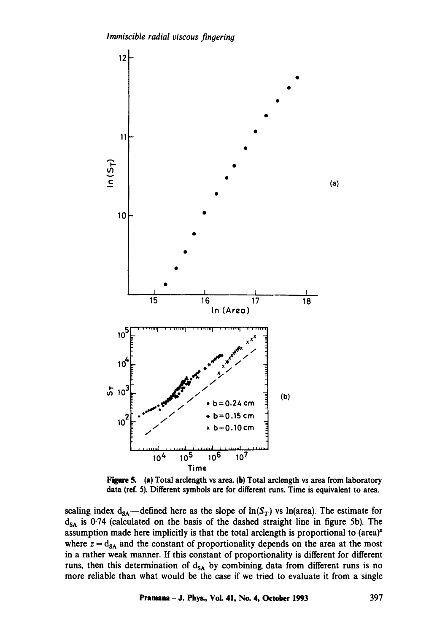

Figure 5. (a) Total arclength vs area. (b) Total arclength vs area from laboratory data (ref. 5). Different symbols are for different runs. Time is equivalent to area.

scaling index  $d_{SA}$ —defined here as the slope of  $ln(S_T)$  vs In(area). The estimate for  $d_{SA}$  is 0.74 (calculated on the basis of the dashed straight line in figure 5b). The assumption made here implicitly is that the total arclength is proportional to  $(area)<sup>z</sup>$ where  $z = d_{SA}$  and the constant of proportionality depends on the area at the most in a rather weak manner. If this constant of proportionality is different for different runs, then this determination of  $d_{SA}$  by combining data from different runs is no more reliable than what would be the case if we tried to evaluate it from a single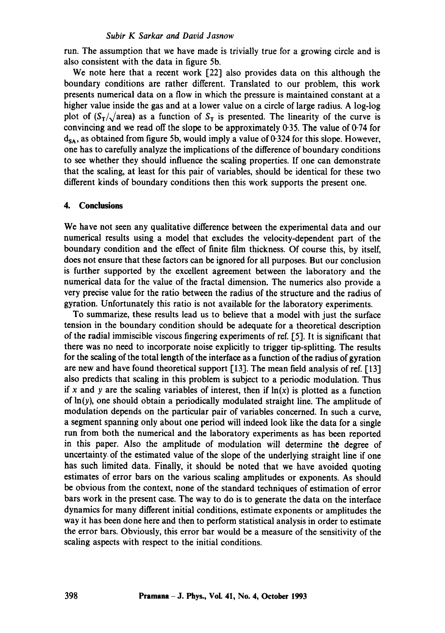run. The assumption that we have made is trivially true for a growing circle and is also consistent with the data in figure 5b.

We note here that a recent work [22] also provides data on this although the boundary conditions are rather different. Translated to our problem, this work presents numerical data on a flow in which the pressure is maintained constant at a higher value inside the gas and at a lower value on a circle of large radius. A log-log plot of  $(S_T/\sqrt{\text{area}})$  as a function of  $S_T$  is presented. The linearity of the curve is convincing and we read off the slope to be approximately 0.35. The value of 0.74 for  $d_{SA}$ , as obtained from figure 5b, would imply a value of 0.324 for this slope. However, one has to carefully analyze the implications of the difference of boundary conditions to see whether they should influence the scaling properties. If one can demonstrate that the scaling, at least for this pair of variables, should be identical for these two different kinds of boundary conditions then this work supports the present one.

#### **4. Conclusions**

We have not seen any qualitative difference between the experimental data and our numerical results using a model that excludes the velocity-dependent part of the boundary condition and the effect of finite film thickness. Of course this, by itself, does not ensure that these factors can be ignored for all purposes. But our conclusion is further supported by the excellent agreement between the laboratory and the numerical data for the value of the fractal dimension. The numerics also provide a very precise value for the ratio between the radius of the structure and the radius of gyration. Unfortunately this ratio is not available for the laboratory experiments.

To summarize, these results lead us to believe that a model with just the surface tension in the boundary condition should be adequate for a theoretical description of the radial immiscible viscous fingering experiments of ref. [5]. It is significant that there was no need to incorporate noise explicitly to trigger tip-splitting. The results for the scaling of the total length of the interface as a function of the radius of gyration are new and have found theoretical support  $[13]$ . The mean field analysis of ref.  $[13]$ also predicts that scaling in this problem is subject to a periodic modulation. Thus if x and y are the scaling variables of interest, then if  $ln(x)$  is plotted as a function of  $\ln(y)$ , one should obtain a periodically modulated straight line. The amplitude of modulation depends on the particular pair of variables concerned. In such a curve, a segment spanning only about one period will indeed look like the data for a single run from both the numerical and the laboratory experiments as has been reported in this paper. Also the amplitude of modulation will determine the degree of uncertainty, of the estimated value of the slope of the underlying straight line if one has such limited data. Finally, it should be noted that we have avoided quoting estimates of error bars on the various scaling amplitudes or exponents. As should be obvious from the context, none of the standard techniques of estimation of error bars work in the present case. The way to do is to generate the data on the interface dynamics for many different initial conditions, estimate exponents or amplitudes the way it has been done here and then to perform statistical analysis in order to estimate the error bars. Obviously, this error bar would be a measure of the sensitivity of the scaling aspects with respect to the initial conditions.